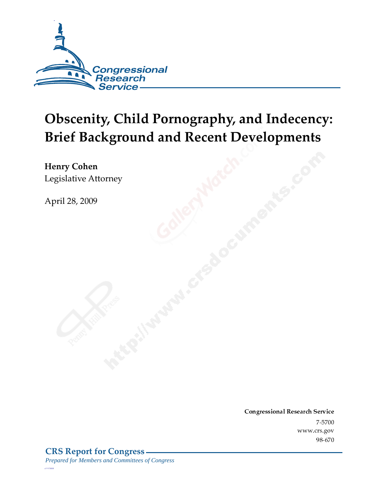

# **Obscenity, Child Pornography, and Indecency: Brief Background and Recent Developments**

Henry Cohen Legislative Attorney

April 28, 2009

Conglessional Research Service  $7 - 2700$ www.crs.gov  $70 - 070$ 

*c11173008*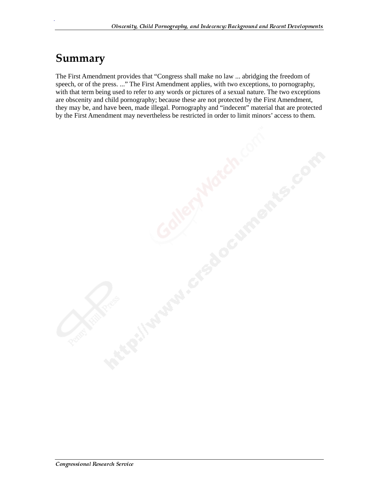#### Summary

.

The First Amendment provides that "Congress shall make no law ... abridging the freedom of speech, or of the press. ..." The First Amendment applies, with two exceptions, to pornography, with that term being used to refer to any words or pictures of a sexual nature. The two exceptions are obscenity and child pornography; because these are not protected by the First Amendment, they may be, and have been, made illegal. Pornography and "indecent" material that are protected by the First Amendment may nevertheless be restricted in order to limit minors' access to them.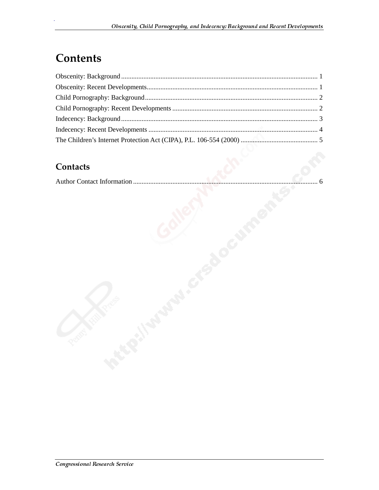### **Contents**

#### **Contacts**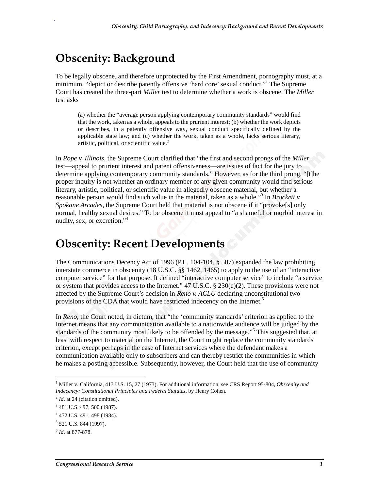### **Obscenity: Background**

.

To be legally obscene, and therefore unprotected by the First Amendment, pornography must, at a minimum, "depict or describe patently offensive 'hard core' sexual conduct."<sup>1</sup> The Supreme Court has created the three-part *Miller* test to determine whether a work is obscene. The *Miller* test asks

(a) whether the "average person applying contemporary community standards" would find that the work, taken as a whole, appeals to the prurient interest; (b) whether the work depicts or describes, in a patently offensive way, sexual conduct specifically defined by the applicable state law; and (c) whether the work, taken as a whole, lacks serious literary, artistic, political, or scientific value.<sup>2</sup>

In *Pope v. Illinois*, the Supreme Court clarified that "the first and second prongs of the *Miller* test—appeal to prurient interest and patent offensiveness—are issues of fact for the jury to determine applying contemporary community standards." However, as for the third prong, "[t]he proper inquiry is not whether an ordinary member of any given community would find serious literary, artistic, political, or scientific value in allegedly obscene material, but whether a reasonable person would find such value in the material, taken as a whole."<sup>3</sup> In *Brockett v*. *Spokane Arcades*, the Supreme Court held that material is not obscene if it "provoke[s] only normal, healthy sexual desires." To be obscene it must appeal to "a shameful or morbid interest in nudity, sex, or excretion."4

#### **Obscenity: Recent Developments**

The Communications Decency Act of 1996 (P.L. 104-104, § 507) expanded the law prohibiting interstate commerce in obscenity (18 U.S.C. §§ 1462, 1465) to apply to the use of an "interactive computer service" for that purpose. It defined "interactive computer service" to include "a service or system that provides access to the Internet."  $47 \text{ U.S.C.} \$   $230(e)(2)$ . These provisions were not affected by the Supreme Court's decision in *Reno v. ACLU* declaring unconstitutional two provisions of the CDA that would have restricted indecency on the Internet.<sup>5</sup>

In *Reno*, the Court noted, in dictum, that "the 'community standards' criterion as applied to the Internet means that any communication available to a nationwide audience will be judged by the standards of the community most likely to be offended by the message."<sup>6</sup> This suggested that, at least with respect to material on the Internet, the Court might replace the community standards criterion, except perhaps in the case of Internet services where the defendant makes a communication available only to subscribers and can thereby restrict the communities in which he makes a posting accessible. Subsequently, however, the Court held that the use of community

j

<sup>&</sup>lt;sup>1</sup> Miller v. California, 413 U.S. 15, 27 (1973). For additional information, see CRS Report 95-804, *Obscenity and Indecency: Constitutional Principles and Federal Statutes*, by Henry Cohen.

<sup>&</sup>lt;sup>2</sup> *Id.* at 24 (citation omitted).

<sup>&</sup>lt;sup>3</sup> 481 U.S. 497, 500 (1987).

<sup>4</sup> 472 U.S. 491, 498 (1984).

<sup>&</sup>lt;sup>5</sup> 521 U.S. 844 (1997).

<sup>6</sup> *Id*. at 877-878.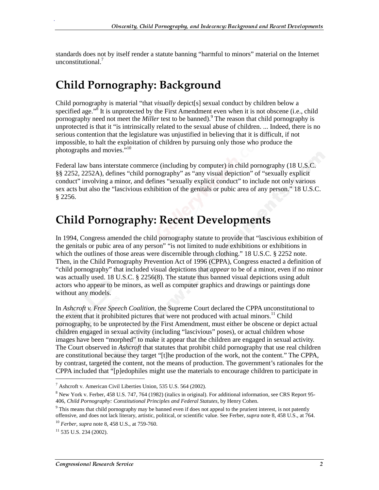standards does not by itself render a statute banning "harmful to minors" material on the Internet unconstitutional.<sup>7</sup>

### **Child Pornography: Background**

Child pornography is material "that *visually* depict[s] sexual conduct by children below a specified age."<sup>8</sup> It is unprotected by the First Amendment even when it is not obscene (i.e., child pornography need not meet the *Miller* test to be banned).<sup>9</sup> The reason that child pornography is unprotected is that it "is intrinsically related to the sexual abuse of children. ... Indeed, there is no serious contention that the legislature was unjustified in believing that it is difficult, if not impossible, to halt the exploitation of children by pursuing only those who produce the photographs and movies.<sup>510</sup>

Federal law bans interstate commerce (including by computer) in child pornography (18 U.S.C. §§ 2252, 2252A), defines "child pornography" as "any visual depiction" of "sexually explicit conduct" involving a minor, and defines "sexually explicit conduct" to include not only various sex acts but also the "lascivious exhibition of the genitals or pubic area of any person." 18 U.S.C. § 2256.

#### **Child Pornography: Recent Developments**

In 1994, Congress amended the child pornography statute to provide that "lascivious exhibition of the genitals or pubic area of any person" "is not limited to nude exhibitions or exhibitions in which the outlines of those areas were discernible through clothing." 18 U.S.C. § 2252 note. Then, in the Child Pornography Prevention Act of 1996 (CPPA), Congress enacted a definition of "child pornography" that included visual depictions that *appear* to be of a minor, even if no minor was actually used. 18 U.S.C. § 2256(8). The statute thus banned visual depictions using adult actors who appear to be minors, as well as computer graphics and drawings or paintings done without any models.

In *Ashcroft v. Free Speech Coalition*, the Supreme Court declared the CPPA unconstitutional to the extent that it prohibited pictures that were not produced with actual minors.<sup>11</sup> Child pornography, to be unprotected by the First Amendment, must either be obscene or depict actual children engaged in sexual activity (including "lascivious" poses), or actual children whose images have been "morphed" to make it appear that the children are engaged in sexual activity. The Court observed in *Ashcroft* that statutes that prohibit child pornography that use real children are constitutional because they target "[t]he production of the work, not the content." The CPPA, by contrast, targeted the content, not the means of production. The government's rationales for the CPPA included that "[p]edophiles might use the materials to encourage children to participate in

j

<sup>&</sup>lt;sup>7</sup> Ashcroft v. American Civil Liberties Union, 535 U.S. 564 (2002).

<sup>&</sup>lt;sup>8</sup> New York v. Ferber, 458 U.S. 747, 764 (1982) (italics in original). For additional information, see CRS Report 95-406, *Child Pornography: Constitutional Principles and Federal Statutes*, by Henry Cohen.

<sup>&</sup>lt;sup>9</sup> This means that child pornography may be banned even if does not appeal to the prurient interest, is not patently offensive, and does not lack literary, artistic, political, or scientific value. See Ferber, *supra* note 8, 458 U.S., at 764. <sup>10</sup> *Ferber*, *supra* note 8, 458 U.S., at 759-760.

 $11$  535 U.S. 234 (2002).

 $\mathcal{L}$  by  $\mathcal{L}$  is the sense of  $\mathcal{L}$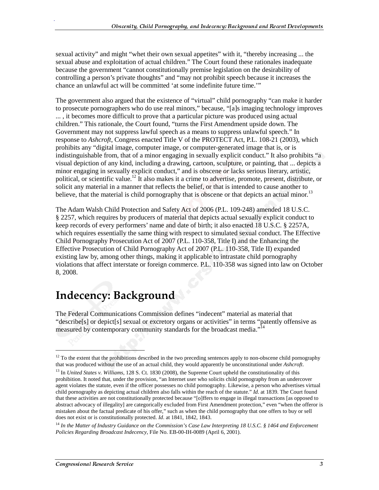sexual activity" and might "whet their own sexual appetites" with it, "thereby increasing ... the sexual abuse and exploitation of actual children." The Court found these rationales inadequate because the government "cannot constitutionally premise legislation on the desirability of controlling a person's private thoughts" and "may not prohibit speech because it increases the chance an unlawful act will be committed 'at some indefinite future time.'"

The government also argued that the existence of "virtual" child pornography "can make it harder to prosecute pornographers who do use real minors," because, "[a]s imaging technology improves ... , it becomes more difficult to prove that a particular picture was produced using actual children." This rationale, the Court found, "turns the First Amendment upside down. The Government may not suppress lawful speech as a means to suppress unlawful speech." In response to *Ashcroft*, Congress enacted Title V of the PROTECT Act, P.L. 108-21 (2003), which prohibits any "digital image, computer image, or computer-generated image that is, or is indistinguishable from, that of a minor engaging in sexually explicit conduct." It also prohibits "a visual depiction of any kind, including a drawing, cartoon, sculpture, or painting, that ... depicts a minor engaging in sexually explicit conduct," and is obscene *or* lacks serious literary, artistic, political, or scientific value.<sup>12</sup> It also makes it a crime to advertise, promote, present, distribute, or solicit any material in a manner that reflects the belief, or that is intended to cause another to believe, that the material is child pornography that is obscene or that depicts an actual minor.<sup>13</sup>

The Adam Walsh Child Protection and Safety Act of 2006 (P.L. 109-248) amended 18 U.S.C. § 2257, which requires by producers of material that depicts actual sexually explicit conduct to keep records of every performers' name and date of birth; it also enacted 18 U.S.C. § 2257A, which requires essentially the same thing with respect to simulated sexual conduct. The Effective Child Pornography Prosecution Act of 2007 (P.L. 110-358, Title I) and the Enhancing the Effective Prosecution of Child Pornography Act of 2007 (P.L. 110-358, Title II) expanded existing law by, among other things, making it applicable to intrastate child pornography violations that affect interstate or foreign commerce. P.L. 110-358 was signed into law on October 8, 2008.

## Indecency: Background

The Federal Communications Commission defines "indecent" material as material that "describe[s] or depict[s] sexual or excretory organs or activities" in terms "patently offensive as measured by contemporary community standards for the broadcast media."<sup>14</sup>

j

 $12$  To the extent that the prohibitions described in the two preceding sentences apply to non-obscene child pornography that was produced without the use of an actual child, they would apparently be unconstitutional under *Ashcroft*.

<sup>&</sup>lt;sup>13</sup> In *United States v. Williams*, 128 S. Ct. 1830 (2008), the Supreme Court upheld the constitutionality of this prohibition. It noted that, under the provision, "an Internet user who solicits child pornography from an undercover agent violates the statute, even if the officer possesses no child pornography. Likewise, a person who advertises virtual child pornography as depicting actual children also falls within the reach of the statute." *Id.* at 1839. The Court found that these activities are not constitutionally protected because "[o]ffers to engage in illegal transactions [as opposed to abstract advocacy of illegality] are categorically excluded from First Amendment protection," even "when the offeror is mistaken about the factual predicate of his offer," such as when the child pornography that one offers to buy or sell does not exist or is constitutionally protected. *Id*. at 1841, 1842, 1843.

<sup>14</sup> *In the Matter of Industry Guidance on the Commission's Case Law Interpreting 18 U.S.C. § 1464 and Enforcement Policies Regarding Broadcast Indecency*, File No. EB-00-IH-0089 (April 6, 2001).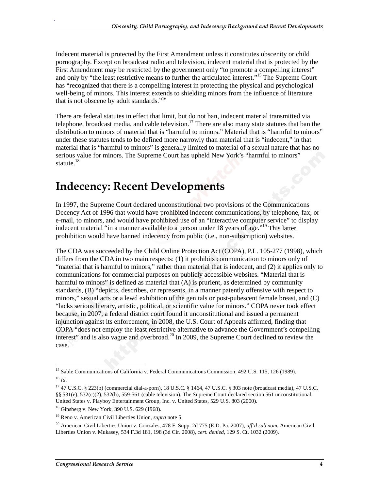Indecent material is protected by the First Amendment unless it constitutes obscenity or child pornography. Except on broadcast radio and television, indecent material that is protected by the First Amendment may be restricted by the government only "to promote a compelling interest" and only by "the least restrictive means to further the articulated interest."<sup>15</sup> The Supreme Court has "recognized that there is a compelling interest in protecting the physical and psychological well-being of minors. This interest extends to shielding minors from the influence of literature that is not obscene by adult standards."<sup>16</sup>

There are federal statutes in effect that limit, but do not ban, indecent material transmitted via telephone, broadcast media, and cable television.<sup>17</sup> There are also many state statutes that ban the distribution to minors of material that is "harmful to minors." Material that is "harmful to minors" under these statutes tends to be defined more narrowly than material that is "indecent," in that material that is "harmful to minors" is generally limited to material of a sexual nature that has no serious value for minors. The Supreme Court has upheld New York's "harmful to minors" statute. $18$ 

#### **Indecency: Recent Developments**

In 1997, the Supreme Court declared unconstitutional two provisions of the Communications Decency Act of 1996 that would have prohibited indecent communications, by telephone, fax, or e-mail, to minors, and would have prohibited use of an "interactive computer service" to display indecent material "in a manner available to a person under 18 years of age."<sup>19</sup> This latter prohibition would have banned indecency from public (i.e., non-subscription) websites.

The CDA was succeeded by the Child Online Protection Act (COPA), P.L. 105-277 (1998), which differs from the CDA in two main respects: (1) it prohibits communication to minors only of "material that is harmful to minors," rather than material that is indecent, and (2) it applies only to communications for commercial purposes on publicly accessible websites. "Material that is harmful to minors" is defined as material that  $(A)$  is prurient, as determined by community standards, (B) "depicts, describes, or represents, in a manner patently offensive with respect to minors," sexual acts or a lewd exhibition of the genitals or post-pubescent female breast, and (C) "lacks serious literary, artistic, political, or scientific value for minors." COPA never took effect because, in 2007, a federal district court found it unconstitutional and issued a permanent injunction against its enforcement; in 2008, the U.S. Court of Appeals affirmed, finding that COPA "does not employ the least restrictive alternative to advance the Government's compelling interest" and is also vague and overbroad.<sup>20</sup> In 2009, the Supreme Court declined to review the case.

 $\overline{a}$ 

<sup>&</sup>lt;sup>15</sup> Sable Communications of California v. Federal Communications Commission, 492 U.S. 115, 126 (1989).  $^{16}$  *Id.* 

<sup>17 47</sup> U.S.C. § 223(b) (commercial dial-a-porn), 18 U.S.C. § 1464, 47 U.S.C. § 303 note (broadcast media), 47 U.S.C. §§ 531(e), 532(c)(2), 532(h), 559-561 (cable television). The Supreme Court declared section 561 unconstitutional. United States v. Playboy Entertainment Group, Inc. v. United States, 529 U.S. 803 (2000).

<sup>18</sup> Ginsberg v. New York, 390 U.S. 629 (1968).

<sup>19</sup> Reno v. American Civil Liberties Union, *supra* note 5.

<sup>20</sup> American Civil Liberties Union v. Gonzales, 478 F. Supp. 2d 775 (E.D. Pa. 2007), *aff'd sub nom.* American Civil Liberties Union v. Mukasey, 534 F.3d 181, 198 (3d Cir. 2008), *cert. denied*, 129 S. Ct. 1032 (2009).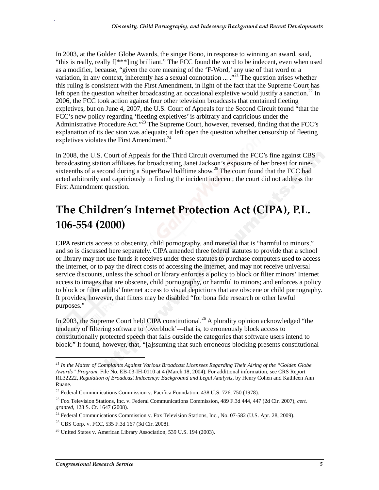In 2003, at the Golden Globe Awards, the singer Bono, in response to winning an award, said, "this is really, really f[\*\*\*]ing brilliant." The FCC found the word to be indecent, even when used as a modifier, because, "given the core meaning of the 'F-Word,' any use of that word or a variation, in any context, inherently has a sexual connotation  $\ldots$ .<sup>21</sup> The question arises whether this ruling is consistent with the First Amendment, in light of the fact that the Supreme Court has left open the question whether broadcasting an occasional expletive would justify a sanction.<sup>22</sup> In 2006, the FCC took action against four other television broadcasts that contained fleeting expletives, but on June 4, 2007, the U.S. Court of Appeals for the Second Circuit found "that the FCC's new policy regarding 'fleeting expletives' is arbitrary and capricious under the Administrative Procedure Act."<sup>23</sup> The Supreme Court, however, reversed, finding that the FCC's explanation of its decision was adequate; it left open the question whether censorship of fleeting expletives violates the First Amendment.<sup>24</sup>

In 2008, the U.S. Court of Appeals for the Third Circuit overturned the FCC's fine against CBS broadcasting station affiliates for broadcasting Janet Jackson's exposure of her breast for ninesixteenths of a second during a SuperBowl halftime show.<sup>25</sup> The court found that the FCC had acted arbitrarily and capriciously in finding the incident indecent; the court did not address the First Amendment question.

### The Children's Internet Protection Act (CIPA), P.L. 106-554 (2000)

CIPA restricts access to obscenity, child pornography, and material that is "harmful to minors," and so is discussed here separately. CIPA amended three federal statutes to provide that a school or library may not use funds it receives under these statutes to purchase computers used to access the Internet, or to pay the direct costs of accessing the Internet, and may not receive universal service discounts, unless the school or library enforces a policy to block or filter minors' Internet access to images that are obscene, child pornography, or harmful to minors; and enforces a policy to block or filter adults' Internet access to visual depictions that are obscene or child pornography. It provides, however, that filters may be disabled "for bona fide research or other lawful purposes."

In 2003, the Supreme Court held CIPA constitutional.<sup>26</sup> A plurality opinion acknowledged "the tendency of filtering software to 'overblock'—that is, to erroneously block access to constitutionally protected speech that falls outside the categories that software users intend to block." It found, however, that, "[a]ssuming that such erroneous blocking presents constitutional

j

<sup>21</sup> *In the Matter of Complaints Against Various Broadcast Licensees Regarding Their Airing of the "Golden Globe Awards" Program*, File No. EB-03-IH-0110 at 4 (March 18, 2004). For additional information, see CRS Report RL32222, *Regulation of Broadcast Indecency: Background and Legal Analysis*, by Henry Cohen and Kathleen Ann Ruane.

<sup>&</sup>lt;sup>22</sup> Federal Communications Commission v. Pacifica Foundation, 438 U.S. 726, 750 (1978).

<sup>23</sup> Fox Television Stations, Inc. v. Federal Communications Commission, 489 F.3d 444, 447 (2d Cir. 2007), *cert. granted*, 128 S. Ct. 1647 (2008).

<sup>&</sup>lt;sup>24</sup> Federal Communications Commission v. Fox Television Stations, Inc., No. 07-582 (U.S. Apr. 28, 2009).

 $^{25}$  CBS Corp. v. FCC, 535 F.3d 167 (3d Cir. 2008).

 $^{26}$  United States v. American Library Association, 539 U.S. 194 (2003).